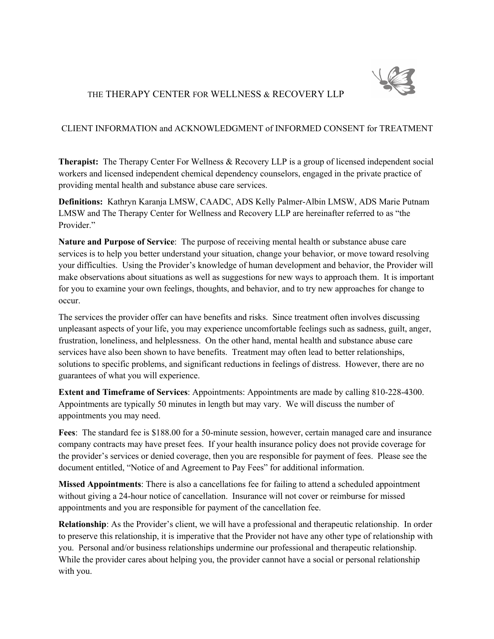

## THE THERAPY CENTER FOR WELLNESS & RECOVERY LLP

## CLIENT INFORMATION and ACKNOWLEDGMENT of INFORMED CONSENT for TREATMENT

**Therapist:** The Therapy Center For Wellness & Recovery LLP is a group of licensed independent social workers and licensed independent chemical dependency counselors, engaged in the private practice of providing mental health and substance abuse care services.

**Definitions:** Kathryn Karanja LMSW, CAADC, ADS Kelly Palmer-Albin LMSW, ADS Marie Putnam LMSW and The Therapy Center for Wellness and Recovery LLP are hereinafter referred to as "the Provider."

**Nature and Purpose of Service**: The purpose of receiving mental health or substance abuse care services is to help you better understand your situation, change your behavior, or move toward resolving your difficulties. Using the Provider's knowledge of human development and behavior, the Provider will make observations about situations as well as suggestions for new ways to approach them. It is important for you to examine your own feelings, thoughts, and behavior, and to try new approaches for change to occur.

The services the provider offer can have benefits and risks. Since treatment often involves discussing unpleasant aspects of your life, you may experience uncomfortable feelings such as sadness, guilt, anger, frustration, loneliness, and helplessness. On the other hand, mental health and substance abuse care services have also been shown to have benefits. Treatment may often lead to better relationships, solutions to specific problems, and significant reductions in feelings of distress. However, there are no guarantees of what you will experience.

**Extent and Timeframe of Services**: Appointments: Appointments are made by calling 810-228-4300. Appointments are typically 50 minutes in length but may vary. We will discuss the number of appointments you may need.

**Fees**: The standard fee is \$188.00 for a 50-minute session, however, certain managed care and insurance company contracts may have preset fees. If your health insurance policy does not provide coverage for the provider's services or denied coverage, then you are responsible for payment of fees. Please see the document entitled, "Notice of and Agreement to Pay Fees" for additional information.

**Missed Appointments**: There is also a cancellations fee for failing to attend a scheduled appointment without giving a 24-hour notice of cancellation. Insurance will not cover or reimburse for missed appointments and you are responsible for payment of the cancellation fee.

**Relationship**: As the Provider's client, we will have a professional and therapeutic relationship. In order to preserve this relationship, it is imperative that the Provider not have any other type of relationship with you. Personal and/or business relationships undermine our professional and therapeutic relationship. While the provider cares about helping you, the provider cannot have a social or personal relationship with you.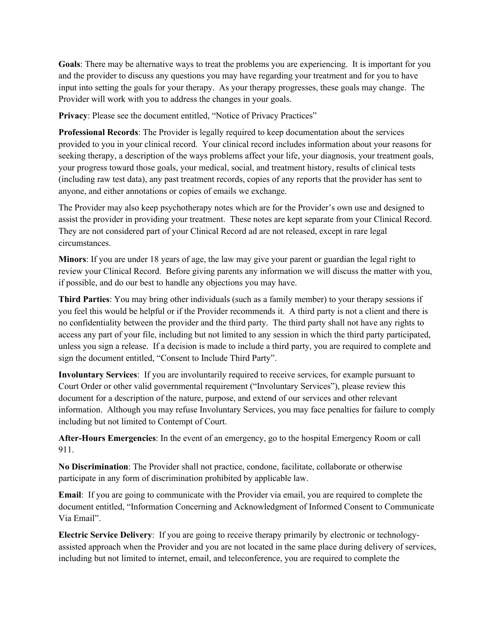**Goals**: There may be alternative ways to treat the problems you are experiencing. It is important for you and the provider to discuss any questions you may have regarding your treatment and for you to have input into setting the goals for your therapy. As your therapy progresses, these goals may change. The Provider will work with you to address the changes in your goals.

**Privacy**: Please see the document entitled, "Notice of Privacy Practices"

**Professional Records**: The Provider is legally required to keep documentation about the services provided to you in your clinical record. Your clinical record includes information about your reasons for seeking therapy, a description of the ways problems affect your life, your diagnosis, your treatment goals, your progress toward those goals, your medical, social, and treatment history, results of clinical tests (including raw test data), any past treatment records, copies of any reports that the provider has sent to anyone, and either annotations or copies of emails we exchange.

The Provider may also keep psychotherapy notes which are for the Provider's own use and designed to assist the provider in providing your treatment. These notes are kept separate from your Clinical Record. They are not considered part of your Clinical Record ad are not released, except in rare legal circumstances.

**Minors**: If you are under 18 years of age, the law may give your parent or guardian the legal right to review your Clinical Record. Before giving parents any information we will discuss the matter with you, if possible, and do our best to handle any objections you may have.

**Third Parties**: You may bring other individuals (such as a family member) to your therapy sessions if you feel this would be helpful or if the Provider recommends it. A third party is not a client and there is no confidentiality between the provider and the third party. The third party shall not have any rights to access any part of your file, including but not limited to any session in which the third party participated, unless you sign a release. If a decision is made to include a third party, you are required to complete and sign the document entitled, "Consent to Include Third Party".

**Involuntary Services**: If you are involuntarily required to receive services, for example pursuant to Court Order or other valid governmental requirement ("Involuntary Services"), please review this document for a description of the nature, purpose, and extend of our services and other relevant information. Although you may refuse Involuntary Services, you may face penalties for failure to comply including but not limited to Contempt of Court.

**After-Hours Emergencies**: In the event of an emergency, go to the hospital Emergency Room or call 911.

**No Discrimination**: The Provider shall not practice, condone, facilitate, collaborate or otherwise participate in any form of discrimination prohibited by applicable law.

**Email**: If you are going to communicate with the Provider via email, you are required to complete the document entitled, "Information Concerning and Acknowledgment of Informed Consent to Communicate Via Email".

**Electric Service Delivery**: If you are going to receive therapy primarily by electronic or technologyassisted approach when the Provider and you are not located in the same place during delivery of services, including but not limited to internet, email, and teleconference, you are required to complete the